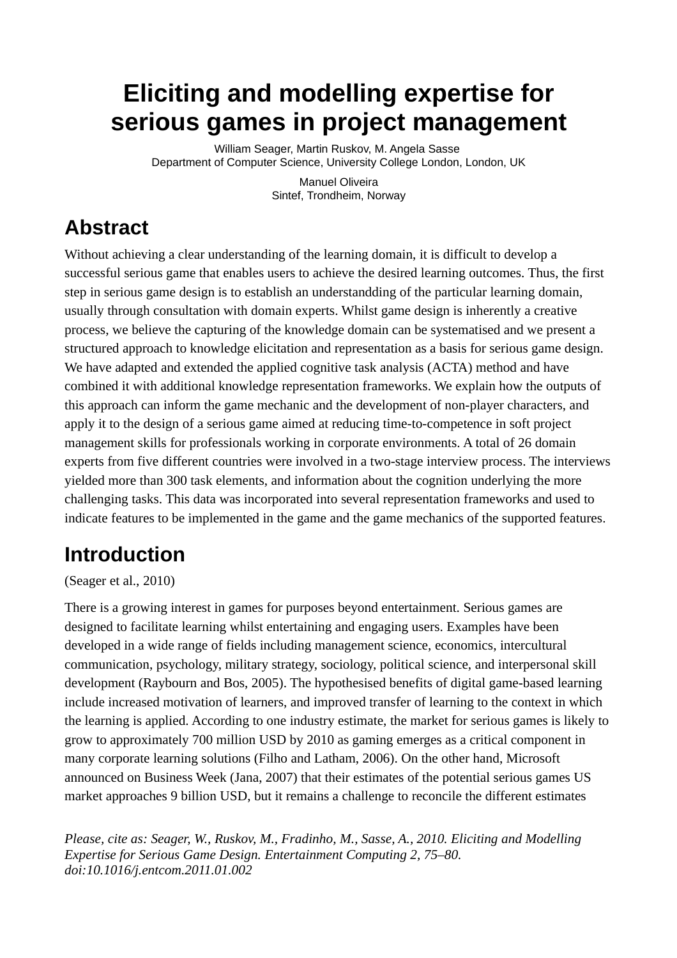# **Eliciting and modelling expertise for serious games in project management**

William Seager, Martin Ruskov, M. Angela Sasse Department of Computer Science, University College London, London, UK

> Manuel Oliveira Sintef, Trondheim, Norway

## **Abstract**

Without achieving a clear understanding of the learning domain, it is difficult to develop a successful serious game that enables users to achieve the desired learning outcomes. Thus, the first step in serious game design is to establish an understandding of the particular learning domain, usually through consultation with domain experts. Whilst game design is inherently a creative process, we believe the capturing of the knowledge domain can be systematised and we present a structured approach to knowledge elicitation and representation as a basis for serious game design. We have adapted and extended the applied cognitive task analysis (ACTA) method and have combined it with additional knowledge representation frameworks. We explain how the outputs of this approach can inform the game mechanic and the development of non-player characters, and apply it to the design of a serious game aimed at reducing time-to-competence in soft project management skills for professionals working in corporate environments. A total of 26 domain experts from five different countries were involved in a two-stage interview process. The interviews yielded more than 300 task elements, and information about the cognition underlying the more challenging tasks. This data was incorporated into several representation frameworks and used to indicate features to be implemented in the game and the game mechanics of the supported features.

## **Introduction**

(Seager et al., 2010)

There is a growing interest in games for purposes beyond entertainment. Serious games are designed to facilitate learning whilst entertaining and engaging users. Examples have been developed in a wide range of fields including management science, economics, intercultural communication, psychology, military strategy, sociology, political science, and interpersonal skill development (Raybourn and Bos, 2005). The hypothesised benefits of digital game-based learning include increased motivation of learners, and improved transfer of learning to the context in which the learning is applied. According to one industry estimate, the market for serious games is likely to grow to approximately 700 million USD by 2010 as gaming emerges as a critical component in many corporate learning solutions (Filho and Latham, 2006). On the other hand, Microsoft announced on Business Week (Jana, 2007) that their estimates of the potential serious games US market approaches 9 billion USD, but it remains a challenge to reconcile the different estimates

*Please, cite as: Seager, W., Ruskov, M., Fradinho, M., Sasse, A., 2010. Eliciting and Modelling Expertise for Serious Game Design. Entertainment Computing 2, 75–80. doi:10.1016/j.entcom.2011.01.002*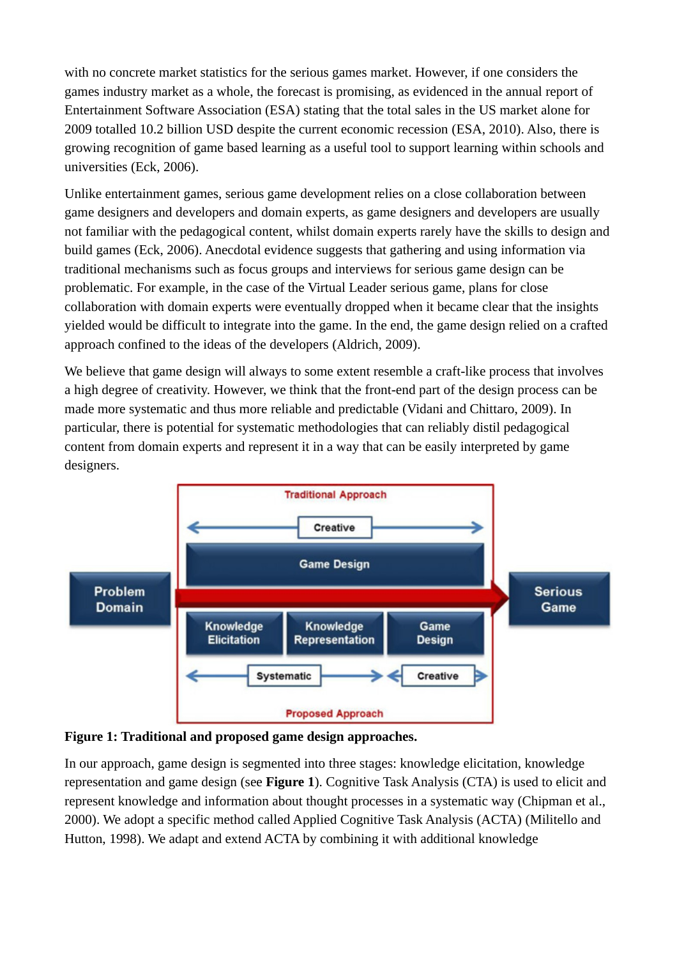with no concrete market statistics for the serious games market. However, if one considers the games industry market as a whole, the forecast is promising, as evidenced in the annual report of Entertainment Software Association (ESA) stating that the total sales in the US market alone for 2009 totalled 10.2 billion USD despite the current economic recession (ESA, 2010). Also, there is growing recognition of game based learning as a useful tool to support learning within schools and universities (Eck, 2006).

Unlike entertainment games, serious game development relies on a close collaboration between game designers and developers and domain experts, as game designers and developers are usually not familiar with the pedagogical content, whilst domain experts rarely have the skills to design and build games (Eck, 2006). Anecdotal evidence suggests that gathering and using information via traditional mechanisms such as focus groups and interviews for serious game design can be problematic. For example, in the case of the Virtual Leader serious game, plans for close collaboration with domain experts were eventually dropped when it became clear that the insights yielded would be difficult to integrate into the game. In the end, the game design relied on a crafted approach confined to the ideas of the developers (Aldrich, 2009).

We believe that game design will always to some extent resemble a craft-like process that involves a high degree of creativity. However, we think that the front-end part of the design process can be made more systematic and thus more reliable and predictable (Vidani and Chittaro, 2009). In particular, there is potential for systematic methodologies that can reliably distil pedagogical content from domain experts and represent it in a way that can be easily interpreted by game designers.



**Figure 1: Traditional and proposed game design approaches.**

In our approach, game design is segmented into three stages: knowledge elicitation, knowledge representation and game design (see **Figure 1**). Cognitive Task Analysis (CTA) is used to elicit and represent knowledge and information about thought processes in a systematic way (Chipman et al., 2000). We adopt a specific method called Applied Cognitive Task Analysis (ACTA) (Militello and Hutton, 1998). We adapt and extend ACTA by combining it with additional knowledge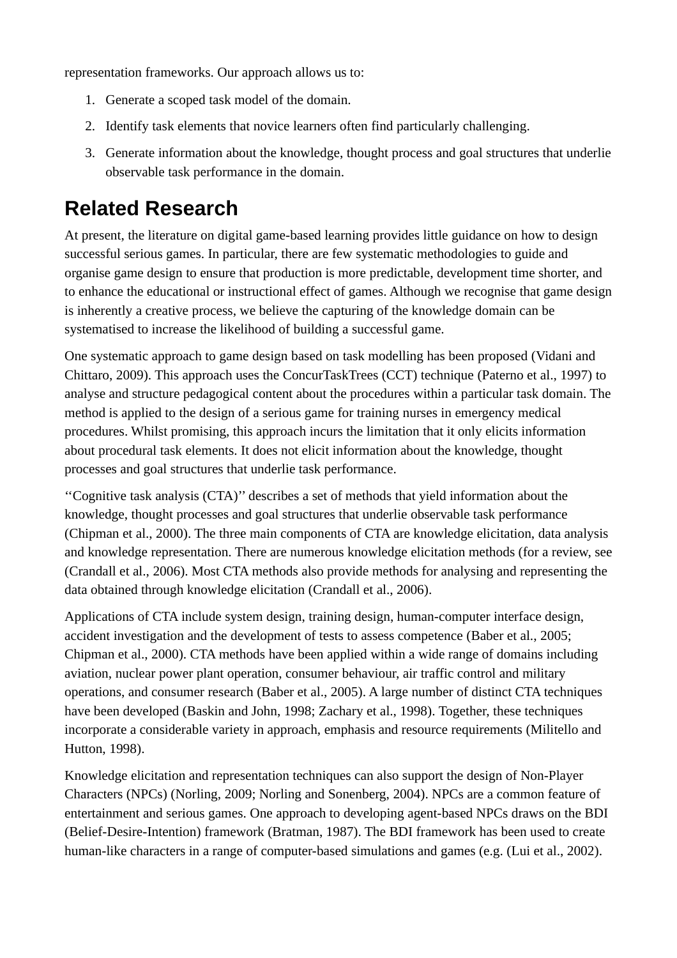representation frameworks. Our approach allows us to:

- 1. Generate a scoped task model of the domain.
- 2. Identify task elements that novice learners often find particularly challenging.
- 3. Generate information about the knowledge, thought process and goal structures that underlie observable task performance in the domain.

### **Related Research**

At present, the literature on digital game-based learning provides little guidance on how to design successful serious games. In particular, there are few systematic methodologies to guide and organise game design to ensure that production is more predictable, development time shorter, and to enhance the educational or instructional effect of games. Although we recognise that game design is inherently a creative process, we believe the capturing of the knowledge domain can be systematised to increase the likelihood of building a successful game.

One systematic approach to game design based on task modelling has been proposed (Vidani and Chittaro, 2009). This approach uses the ConcurTaskTrees (CCT) technique (Paterno et al., 1997) to analyse and structure pedagogical content about the procedures within a particular task domain. The method is applied to the design of a serious game for training nurses in emergency medical procedures. Whilst promising, this approach incurs the limitation that it only elicits information about procedural task elements. It does not elicit information about the knowledge, thought processes and goal structures that underlie task performance.

''Cognitive task analysis (CTA)'' describes a set of methods that yield information about the knowledge, thought processes and goal structures that underlie observable task performance (Chipman et al., 2000). The three main components of CTA are knowledge elicitation, data analysis and knowledge representation. There are numerous knowledge elicitation methods (for a review, see (Crandall et al., 2006). Most CTA methods also provide methods for analysing and representing the data obtained through knowledge elicitation (Crandall et al., 2006).

Applications of CTA include system design, training design, human-computer interface design, accident investigation and the development of tests to assess competence (Baber et al., 2005; Chipman et al., 2000). CTA methods have been applied within a wide range of domains including aviation, nuclear power plant operation, consumer behaviour, air traffic control and military operations, and consumer research (Baber et al., 2005). A large number of distinct CTA techniques have been developed (Baskin and John, 1998; Zachary et al., 1998). Together, these techniques incorporate a considerable variety in approach, emphasis and resource requirements (Militello and Hutton, 1998).

Knowledge elicitation and representation techniques can also support the design of Non-Player Characters (NPCs) (Norling, 2009; Norling and Sonenberg, 2004). NPCs are a common feature of entertainment and serious games. One approach to developing agent-based NPCs draws on the BDI (Belief-Desire-Intention) framework (Bratman, 1987). The BDI framework has been used to create human-like characters in a range of computer-based simulations and games (e.g. (Lui et al., 2002).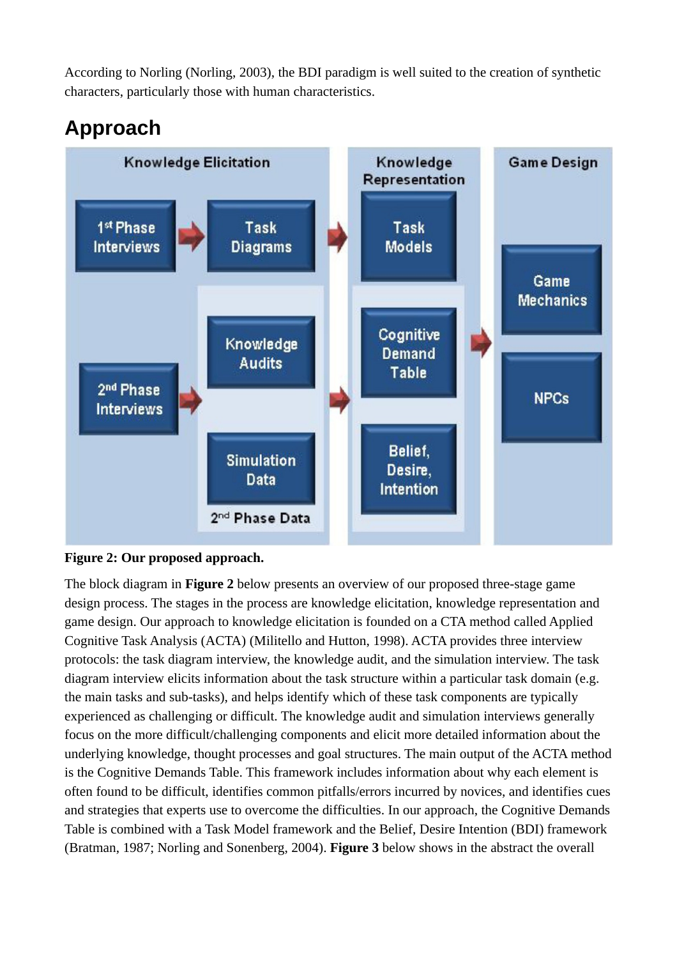According to Norling (Norling, 2003), the BDI paradigm is well suited to the creation of synthetic characters, particularly those with human characteristics.

## **Approach**



### **Figure 2: Our proposed approach.**

The block diagram in **Figure 2** below presents an overview of our proposed three-stage game design process. The stages in the process are knowledge elicitation, knowledge representation and game design. Our approach to knowledge elicitation is founded on a CTA method called Applied Cognitive Task Analysis (ACTA) (Militello and Hutton, 1998). ACTA provides three interview protocols: the task diagram interview, the knowledge audit, and the simulation interview. The task diagram interview elicits information about the task structure within a particular task domain (e.g. the main tasks and sub-tasks), and helps identify which of these task components are typically experienced as challenging or difficult. The knowledge audit and simulation interviews generally focus on the more difficult/challenging components and elicit more detailed information about the underlying knowledge, thought processes and goal structures. The main output of the ACTA method is the Cognitive Demands Table. This framework includes information about why each element is often found to be difficult, identifies common pitfalls/errors incurred by novices, and identifies cues and strategies that experts use to overcome the difficulties. In our approach, the Cognitive Demands Table is combined with a Task Model framework and the Belief, Desire Intention (BDI) framework (Bratman, 1987; Norling and Sonenberg, 2004). **Figure 3** below shows in the abstract the overall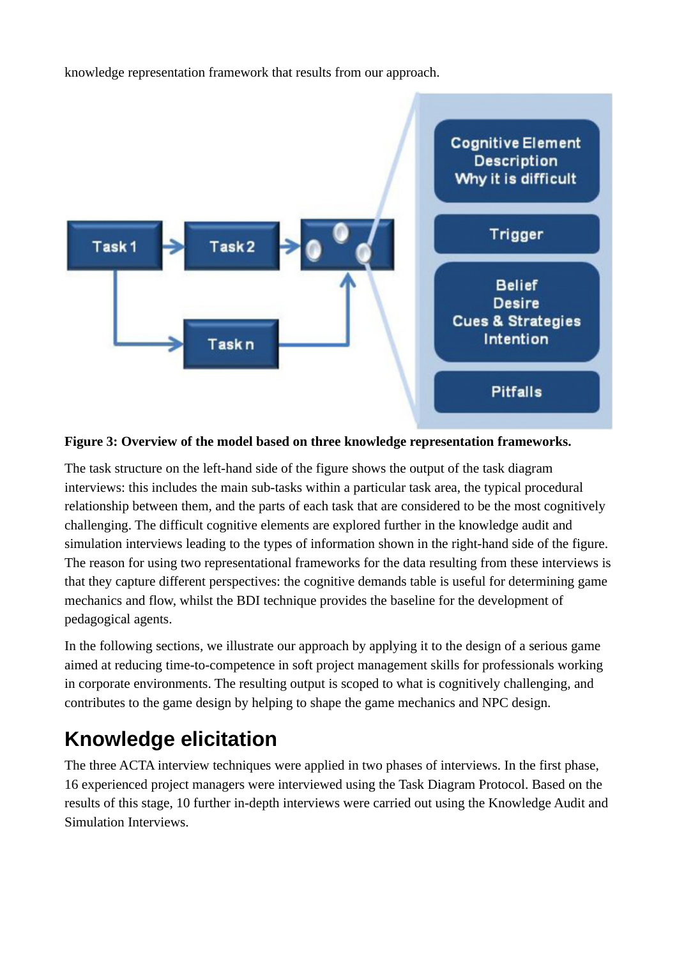knowledge representation framework that results from our approach.



#### **Figure 3: Overview of the model based on three knowledge representation frameworks.**

The task structure on the left-hand side of the figure shows the output of the task diagram interviews: this includes the main sub-tasks within a particular task area, the typical procedural relationship between them, and the parts of each task that are considered to be the most cognitively challenging. The difficult cognitive elements are explored further in the knowledge audit and simulation interviews leading to the types of information shown in the right-hand side of the figure. The reason for using two representational frameworks for the data resulting from these interviews is that they capture different perspectives: the cognitive demands table is useful for determining game mechanics and flow, whilst the BDI technique provides the baseline for the development of pedagogical agents.

In the following sections, we illustrate our approach by applying it to the design of a serious game aimed at reducing time-to-competence in soft project management skills for professionals working in corporate environments. The resulting output is scoped to what is cognitively challenging, and contributes to the game design by helping to shape the game mechanics and NPC design.

### **Knowledge elicitation**

The three ACTA interview techniques were applied in two phases of interviews. In the first phase, 16 experienced project managers were interviewed using the Task Diagram Protocol. Based on the results of this stage, 10 further in-depth interviews were carried out using the Knowledge Audit and Simulation Interviews.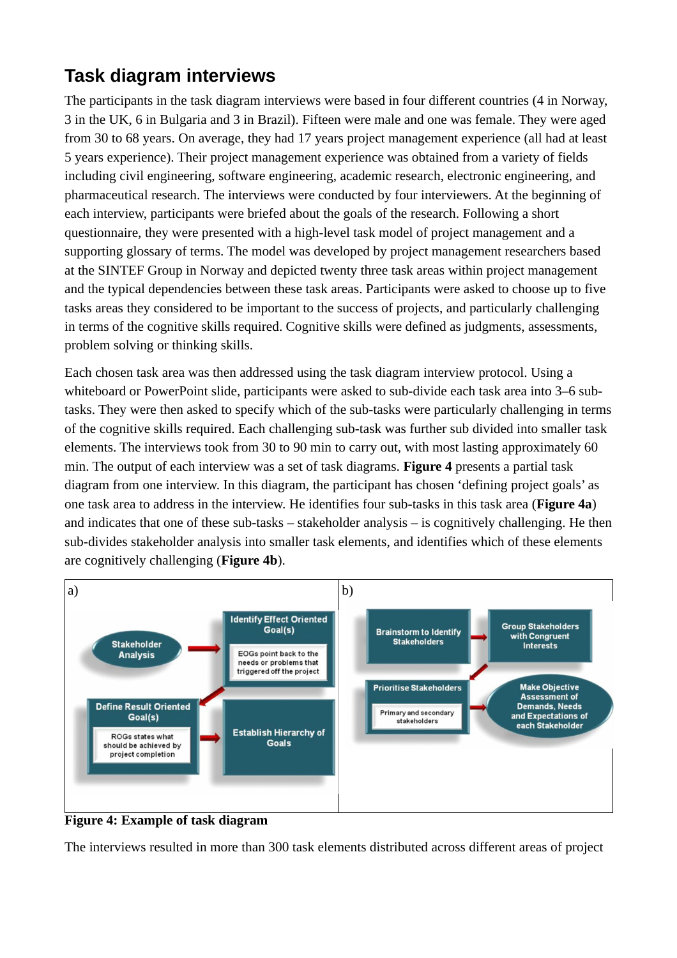### **Task diagram interviews**

The participants in the task diagram interviews were based in four different countries (4 in Norway, 3 in the UK, 6 in Bulgaria and 3 in Brazil). Fifteen were male and one was female. They were aged from 30 to 68 years. On average, they had 17 years project management experience (all had at least 5 years experience). Their project management experience was obtained from a variety of fields including civil engineering, software engineering, academic research, electronic engineering, and pharmaceutical research. The interviews were conducted by four interviewers. At the beginning of each interview, participants were briefed about the goals of the research. Following a short questionnaire, they were presented with a high-level task model of project management and a supporting glossary of terms. The model was developed by project management researchers based at the SINTEF Group in Norway and depicted twenty three task areas within project management and the typical dependencies between these task areas. Participants were asked to choose up to five tasks areas they considered to be important to the success of projects, and particularly challenging in terms of the cognitive skills required. Cognitive skills were defined as judgments, assessments, problem solving or thinking skills.

Each chosen task area was then addressed using the task diagram interview protocol. Using a whiteboard or PowerPoint slide, participants were asked to sub-divide each task area into 3–6 subtasks. They were then asked to specify which of the sub-tasks were particularly challenging in terms of the cognitive skills required. Each challenging sub-task was further sub divided into smaller task elements. The interviews took from 30 to 90 min to carry out, with most lasting approximately 60 min. The output of each interview was a set of task diagrams. **Figure 4** presents a partial task diagram from one interview. In this diagram, the participant has chosen 'defining project goals' as one task area to address in the interview. He identifies four sub-tasks in this task area (**Figure 4a**) and indicates that one of these sub-tasks – stakeholder analysis – is cognitively challenging. He then sub-divides stakeholder analysis into smaller task elements, and identifies which of these elements are cognitively challenging (**Figure 4b**).



**Figure 4: Example of task diagram**

The interviews resulted in more than 300 task elements distributed across different areas of project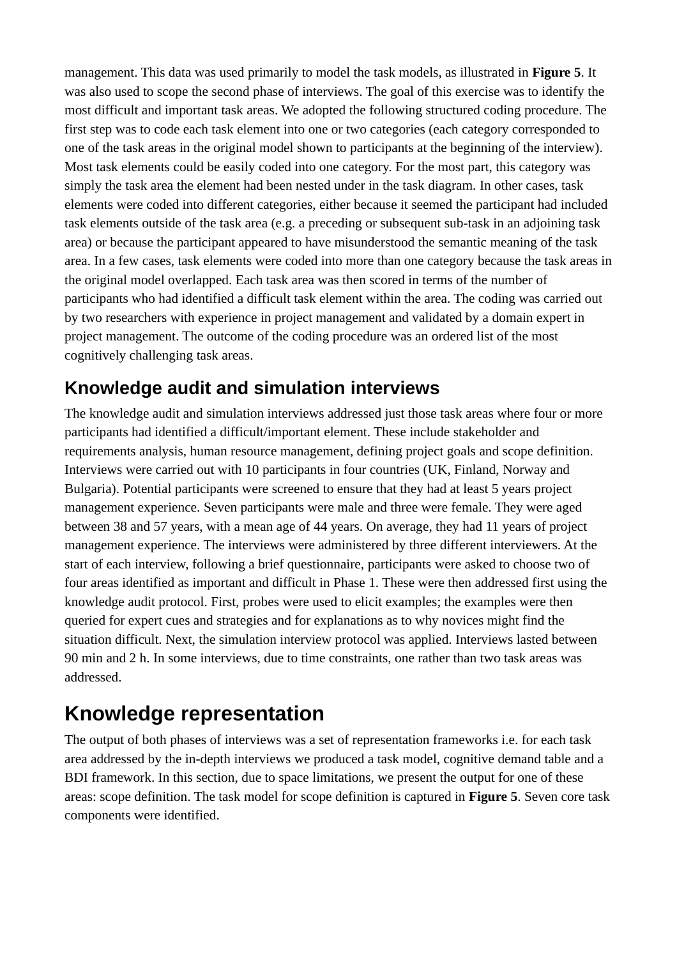management. This data was used primarily to model the task models, as illustrated in **Figure 5**. It was also used to scope the second phase of interviews. The goal of this exercise was to identify the most difficult and important task areas. We adopted the following structured coding procedure. The first step was to code each task element into one or two categories (each category corresponded to one of the task areas in the original model shown to participants at the beginning of the interview). Most task elements could be easily coded into one category. For the most part, this category was simply the task area the element had been nested under in the task diagram. In other cases, task elements were coded into different categories, either because it seemed the participant had included task elements outside of the task area (e.g. a preceding or subsequent sub-task in an adjoining task area) or because the participant appeared to have misunderstood the semantic meaning of the task area. In a few cases, task elements were coded into more than one category because the task areas in the original model overlapped. Each task area was then scored in terms of the number of participants who had identified a difficult task element within the area. The coding was carried out by two researchers with experience in project management and validated by a domain expert in project management. The outcome of the coding procedure was an ordered list of the most cognitively challenging task areas.

### **Knowledge audit and simulation interviews**

The knowledge audit and simulation interviews addressed just those task areas where four or more participants had identified a difficult/important element. These include stakeholder and requirements analysis, human resource management, defining project goals and scope definition. Interviews were carried out with 10 participants in four countries (UK, Finland, Norway and Bulgaria). Potential participants were screened to ensure that they had at least 5 years project management experience. Seven participants were male and three were female. They were aged between 38 and 57 years, with a mean age of 44 years. On average, they had 11 years of project management experience. The interviews were administered by three different interviewers. At the start of each interview, following a brief questionnaire, participants were asked to choose two of four areas identified as important and difficult in Phase 1. These were then addressed first using the knowledge audit protocol. First, probes were used to elicit examples; the examples were then queried for expert cues and strategies and for explanations as to why novices might find the situation difficult. Next, the simulation interview protocol was applied. Interviews lasted between 90 min and 2 h. In some interviews, due to time constraints, one rather than two task areas was addressed.

### **Knowledge representation**

The output of both phases of interviews was a set of representation frameworks i.e. for each task area addressed by the in-depth interviews we produced a task model, cognitive demand table and a BDI framework. In this section, due to space limitations, we present the output for one of these areas: scope definition. The task model for scope definition is captured in **Figure 5**. Seven core task components were identified.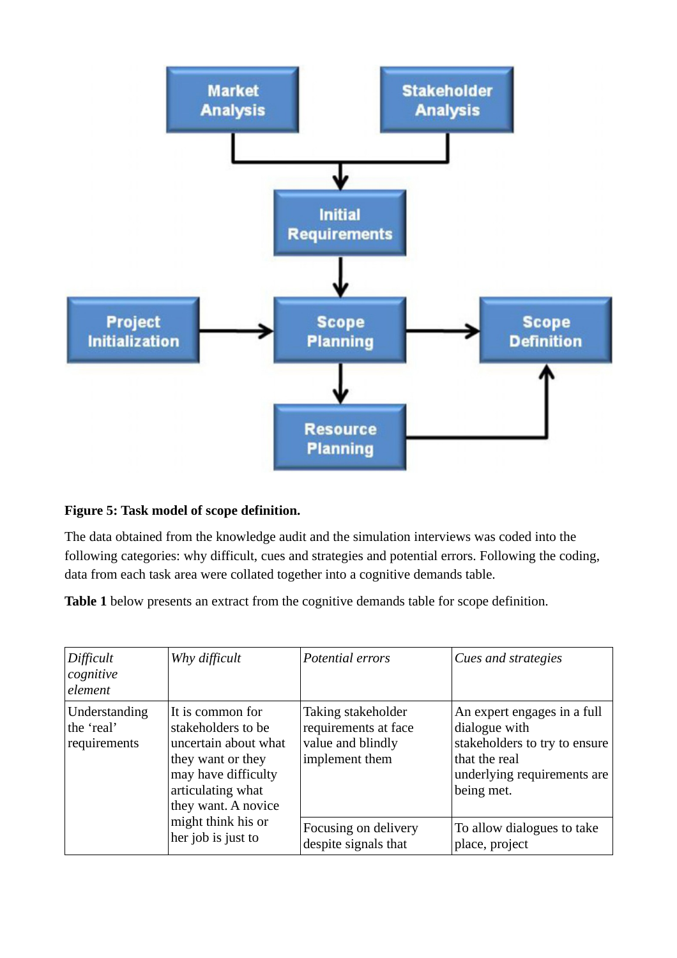

#### **Figure 5: Task model of scope definition.**

The data obtained from the knowledge audit and the simulation interviews was coded into the following categories: why difficult, cues and strategies and potential errors. Following the coding, data from each task area were collated together into a cognitive demands table.

**Table 1** below presents an extract from the cognitive demands table for scope definition.

| Difficult<br>cognitive<br>element                  | Why difficult                                                                                                                                                                                      | Potential errors                                                                  | Cues and strategies                                                                                                                         |
|----------------------------------------------------|----------------------------------------------------------------------------------------------------------------------------------------------------------------------------------------------------|-----------------------------------------------------------------------------------|---------------------------------------------------------------------------------------------------------------------------------------------|
| <b>Understanding</b><br>the 'real'<br>requirements | It is common for<br>stakeholders to be<br>uncertain about what<br>they want or they<br>may have difficulty<br>articulating what<br>they want. A novice<br>might think his or<br>her job is just to | Taking stakeholder<br>requirements at face<br>value and blindly<br>implement them | An expert engages in a full<br>dialogue with<br>stakeholders to try to ensure<br>that the real<br>underlying requirements are<br>being met. |
|                                                    |                                                                                                                                                                                                    | Focusing on delivery<br>despite signals that                                      | To allow dialogues to take<br>place, project                                                                                                |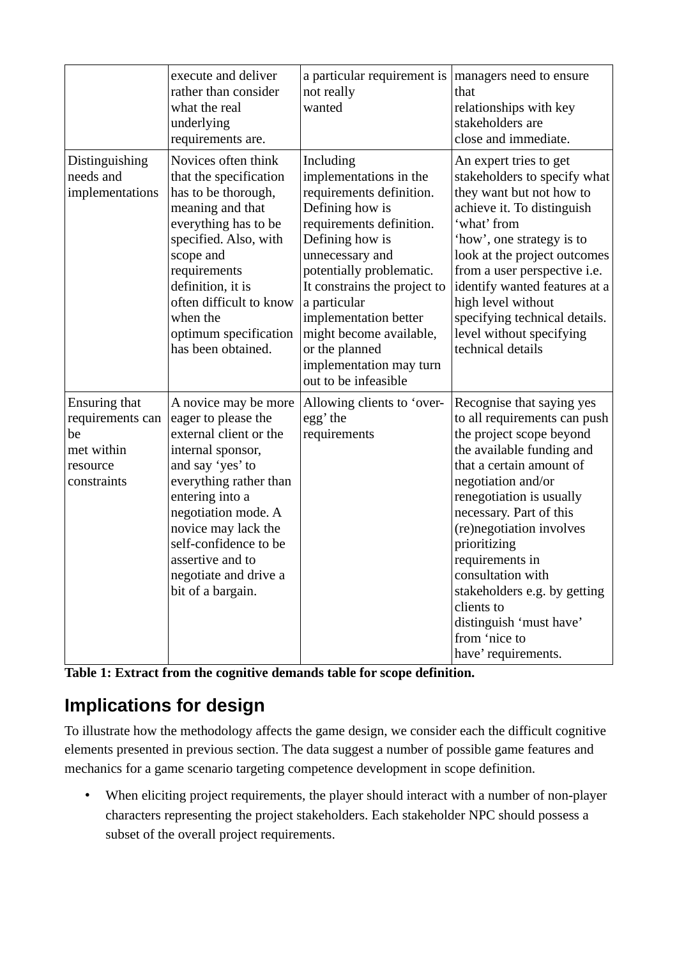|                                                                                  | execute and deliver<br>rather than consider<br>what the real<br>underlying<br>requirements are.                                                                                                                                                                                                      | a particular requirement is<br>not really<br>wanted                                                                                                                                                                                                                                                                                                       | managers need to ensure<br>that<br>relationships with key<br>stakeholders are<br>close and immediate.                                                                                                                                                                                                                                                                                                                            |
|----------------------------------------------------------------------------------|------------------------------------------------------------------------------------------------------------------------------------------------------------------------------------------------------------------------------------------------------------------------------------------------------|-----------------------------------------------------------------------------------------------------------------------------------------------------------------------------------------------------------------------------------------------------------------------------------------------------------------------------------------------------------|----------------------------------------------------------------------------------------------------------------------------------------------------------------------------------------------------------------------------------------------------------------------------------------------------------------------------------------------------------------------------------------------------------------------------------|
| Distinguishing<br>needs and<br>implementations                                   | Novices often think<br>that the specification<br>has to be thorough,<br>meaning and that<br>everything has to be<br>specified. Also, with<br>scope and<br>requirements<br>definition, it is<br>often difficult to know<br>when the<br>optimum specification<br>has been obtained.                    | Including<br>implementations in the<br>requirements definition.<br>Defining how is<br>requirements definition.<br>Defining how is<br>unnecessary and<br>potentially problematic.<br>It constrains the project to<br>a particular<br>implementation better<br>might become available,<br>or the planned<br>implementation may turn<br>out to be infeasible | An expert tries to get<br>stakeholders to specify what<br>they want but not how to<br>achieve it. To distinguish<br>'what' from<br>'how', one strategy is to<br>look at the project outcomes<br>from a user perspective i.e.<br>identify wanted features at a<br>high level without<br>specifying technical details.<br>level without specifying<br>technical details                                                            |
| Ensuring that<br>requirements can<br>be<br>met within<br>resource<br>constraints | A novice may be more<br>eager to please the<br>external client or the<br>internal sponsor,<br>and say 'yes' to<br>everything rather than<br>entering into a<br>negotiation mode. A<br>novice may lack the<br>self-confidence to be<br>assertive and to<br>negotiate and drive a<br>bit of a bargain. | Allowing clients to 'over-<br>egg' the<br>requirements                                                                                                                                                                                                                                                                                                    | Recognise that saying yes<br>to all requirements can push<br>the project scope beyond<br>the available funding and<br>that a certain amount of<br>negotiation and/or<br>renegotiation is usually<br>necessary. Part of this<br>(re)negotiation involves<br>prioritizing<br>requirements in<br>consultation with<br>stakeholders e.g. by getting<br>clients to<br>distinguish 'must have'<br>from 'nice to<br>have' requirements. |

**Table 1: Extract from the cognitive demands table for scope definition.**

### **Implications for design**

To illustrate how the methodology affects the game design, we consider each the difficult cognitive elements presented in previous section. The data suggest a number of possible game features and mechanics for a game scenario targeting competence development in scope definition.

• When eliciting project requirements, the player should interact with a number of non-player characters representing the project stakeholders. Each stakeholder NPC should possess a subset of the overall project requirements.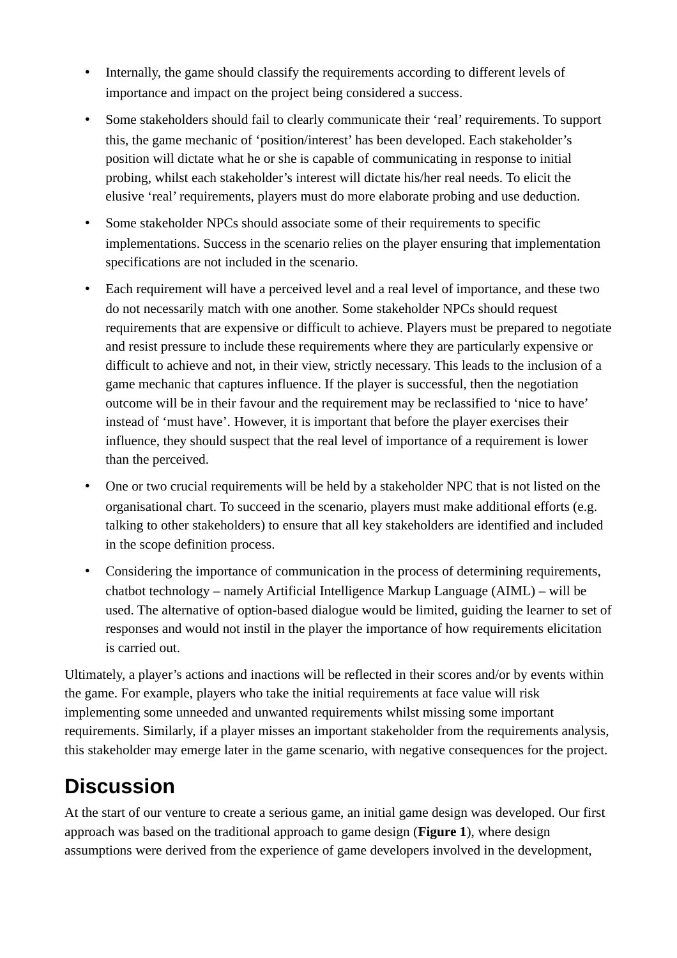- Internally, the game should classify the requirements according to different levels of importance and impact on the project being considered a success.
- Some stakeholders should fail to clearly communicate their 'real' requirements. To support this, the game mechanic of 'position/interest' has been developed. Each stakeholder's position will dictate what he or she is capable of communicating in response to initial probing, whilst each stakeholder's interest will dictate his/her real needs. To elicit the elusive 'real' requirements, players must do more elaborate probing and use deduction.
- Some stakeholder NPCs should associate some of their requirements to specific implementations. Success in the scenario relies on the player ensuring that implementation specifications are not included in the scenario.
- Each requirement will have a perceived level and a real level of importance, and these two do not necessarily match with one another. Some stakeholder NPCs should request requirements that are expensive or difficult to achieve. Players must be prepared to negotiate and resist pressure to include these requirements where they are particularly expensive or difficult to achieve and not, in their view, strictly necessary. This leads to the inclusion of a game mechanic that captures influence. If the player is successful, then the negotiation outcome will be in their favour and the requirement may be reclassified to 'nice to have' instead of 'must have'. However, it is important that before the player exercises their influence, they should suspect that the real level of importance of a requirement is lower than the perceived.
- One or two crucial requirements will be held by a stakeholder NPC that is not listed on the organisational chart. To succeed in the scenario, players must make additional efforts (e.g. talking to other stakeholders) to ensure that all key stakeholders are identified and included in the scope definition process.
- Considering the importance of communication in the process of determining requirements, chatbot technology – namely Artificial Intelligence Markup Language (AIML) – will be used. The alternative of option-based dialogue would be limited, guiding the learner to set of responses and would not instil in the player the importance of how requirements elicitation is carried out.

Ultimately, a player's actions and inactions will be reflected in their scores and/or by events within the game. For example, players who take the initial requirements at face value will risk implementing some unneeded and unwanted requirements whilst missing some important requirements. Similarly, if a player misses an important stakeholder from the requirements analysis, this stakeholder may emerge later in the game scenario, with negative consequences for the project.

### **Discussion**

At the start of our venture to create a serious game, an initial game design was developed. Our first approach was based on the traditional approach to game design (**Figure 1**), where design assumptions were derived from the experience of game developers involved in the development,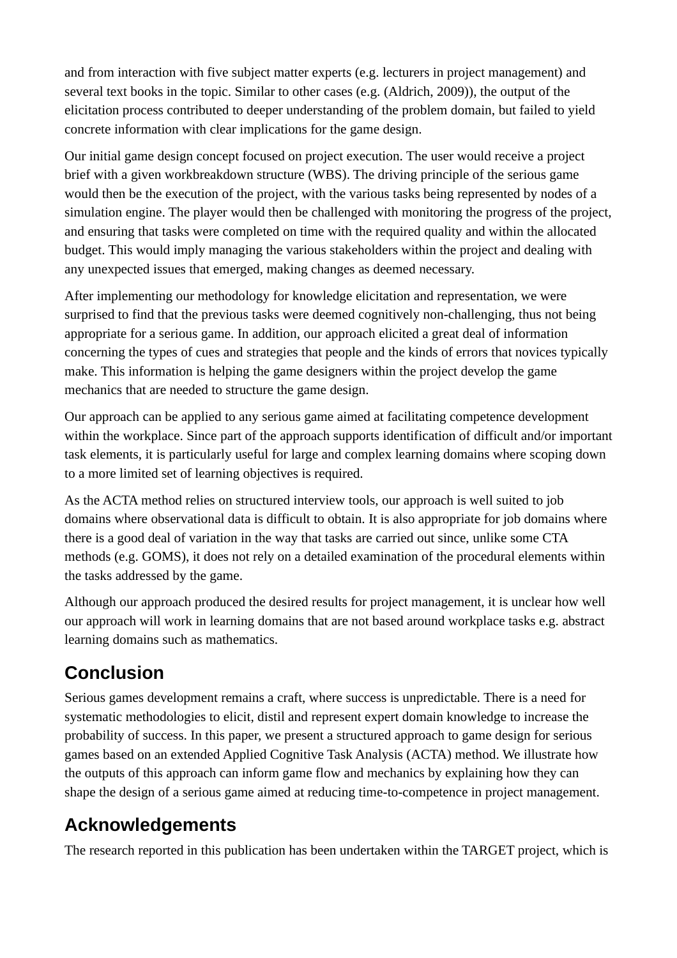and from interaction with five subject matter experts (e.g. lecturers in project management) and several text books in the topic. Similar to other cases (e.g. (Aldrich, 2009)), the output of the elicitation process contributed to deeper understanding of the problem domain, but failed to yield concrete information with clear implications for the game design.

Our initial game design concept focused on project execution. The user would receive a project brief with a given workbreakdown structure (WBS). The driving principle of the serious game would then be the execution of the project, with the various tasks being represented by nodes of a simulation engine. The player would then be challenged with monitoring the progress of the project, and ensuring that tasks were completed on time with the required quality and within the allocated budget. This would imply managing the various stakeholders within the project and dealing with any unexpected issues that emerged, making changes as deemed necessary.

After implementing our methodology for knowledge elicitation and representation, we were surprised to find that the previous tasks were deemed cognitively non-challenging, thus not being appropriate for a serious game. In addition, our approach elicited a great deal of information concerning the types of cues and strategies that people and the kinds of errors that novices typically make. This information is helping the game designers within the project develop the game mechanics that are needed to structure the game design.

Our approach can be applied to any serious game aimed at facilitating competence development within the workplace. Since part of the approach supports identification of difficult and/or important task elements, it is particularly useful for large and complex learning domains where scoping down to a more limited set of learning objectives is required.

As the ACTA method relies on structured interview tools, our approach is well suited to job domains where observational data is difficult to obtain. It is also appropriate for job domains where there is a good deal of variation in the way that tasks are carried out since, unlike some CTA methods (e.g. GOMS), it does not rely on a detailed examination of the procedural elements within the tasks addressed by the game.

Although our approach produced the desired results for project management, it is unclear how well our approach will work in learning domains that are not based around workplace tasks e.g. abstract learning domains such as mathematics.

### **Conclusion**

Serious games development remains a craft, where success is unpredictable. There is a need for systematic methodologies to elicit, distil and represent expert domain knowledge to increase the probability of success. In this paper, we present a structured approach to game design for serious games based on an extended Applied Cognitive Task Analysis (ACTA) method. We illustrate how the outputs of this approach can inform game flow and mechanics by explaining how they can shape the design of a serious game aimed at reducing time-to-competence in project management.

### **Acknowledgements**

The research reported in this publication has been undertaken within the TARGET project, which is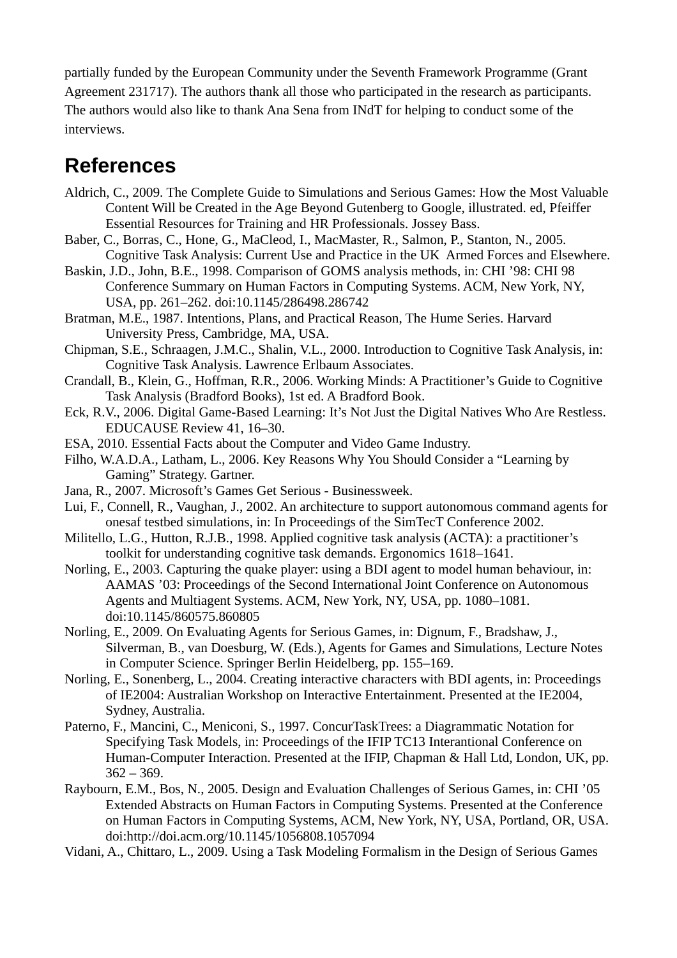partially funded by the European Community under the Seventh Framework Programme (Grant Agreement 231717). The authors thank all those who participated in the research as participants. The authors would also like to thank Ana Sena from INdT for helping to conduct some of the interviews.

### **References**

- Aldrich, C., 2009. The Complete Guide to Simulations and Serious Games: How the Most Valuable Content Will be Created in the Age Beyond Gutenberg to Google, illustrated. ed, Pfeiffer Essential Resources for Training and HR Professionals. Jossey Bass.
- Baber, C., Borras, C., Hone, G., MaCleod, I., MacMaster, R., Salmon, P., Stanton, N., 2005. Cognitive Task Analysis: Current Use and Practice in the UK Armed Forces and Elsewhere.

Baskin, J.D., John, B.E., 1998. Comparison of GOMS analysis methods, in: CHI '98: CHI 98 Conference Summary on Human Factors in Computing Systems. ACM, New York, NY, USA, pp. 261–262. doi:10.1145/286498.286742

Bratman, M.E., 1987. Intentions, Plans, and Practical Reason, The Hume Series. Harvard University Press, Cambridge, MA, USA.

Chipman, S.E., Schraagen, J.M.C., Shalin, V.L., 2000. Introduction to Cognitive Task Analysis, in: Cognitive Task Analysis. Lawrence Erlbaum Associates.

- Crandall, B., Klein, G., Hoffman, R.R., 2006. Working Minds: A Practitioner's Guide to Cognitive Task Analysis (Bradford Books), 1st ed. A Bradford Book.
- Eck, R.V., 2006. Digital Game-Based Learning: It's Not Just the Digital Natives Who Are Restless. EDUCAUSE Review 41, 16–30.
- ESA, 2010. Essential Facts about the Computer and Video Game Industry.
- Filho, W.A.D.A., Latham, L., 2006. Key Reasons Why You Should Consider a "Learning by Gaming" Strategy. Gartner.
- Jana, R., 2007. Microsoft's Games Get Serious Businessweek.
- Lui, F., Connell, R., Vaughan, J., 2002. An architecture to support autonomous command agents for onesaf testbed simulations, in: In Proceedings of the SimTecT Conference 2002.
- Militello, L.G., Hutton, R.J.B., 1998. Applied cognitive task analysis (ACTA): a practitioner's toolkit for understanding cognitive task demands. Ergonomics 1618–1641.
- Norling, E., 2003. Capturing the quake player: using a BDI agent to model human behaviour, in: AAMAS '03: Proceedings of the Second International Joint Conference on Autonomous Agents and Multiagent Systems. ACM, New York, NY, USA, pp. 1080–1081. doi:10.1145/860575.860805
- Norling, E., 2009. On Evaluating Agents for Serious Games, in: Dignum, F., Bradshaw, J., Silverman, B., van Doesburg, W. (Eds.), Agents for Games and Simulations, Lecture Notes in Computer Science. Springer Berlin Heidelberg, pp. 155–169.
- Norling, E., Sonenberg, L., 2004. Creating interactive characters with BDI agents, in: Proceedings of IE2004: Australian Workshop on Interactive Entertainment. Presented at the IE2004, Sydney, Australia.
- Paterno, F., Mancini, C., Meniconi, S., 1997. ConcurTaskTrees: a Diagrammatic Notation for Specifying Task Models, in: Proceedings of the IFIP TC13 Interantional Conference on Human-Computer Interaction. Presented at the IFIP, Chapman & Hall Ltd, London, UK, pp.  $362 - 369.$
- Raybourn, E.M., Bos, N., 2005. Design and Evaluation Challenges of Serious Games, in: CHI '05 Extended Abstracts on Human Factors in Computing Systems. Presented at the Conference on Human Factors in Computing Systems, ACM, New York, NY, USA, Portland, OR, USA. doi:http://doi.acm.org/10.1145/1056808.1057094
- Vidani, A., Chittaro, L., 2009. Using a Task Modeling Formalism in the Design of Serious Games